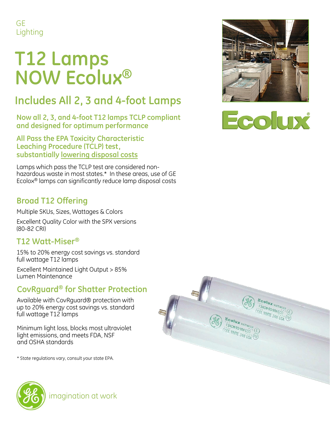GE Lighting

# **T12 Lamps NOW Ecolux ®**

### **Includes All 2, 3 and 4 -foot Lamps**

**Now all 2, 3, and 4 -foot T12 lamps TCLP compliant and designed for optimum performance**

**All Pass the EPA Toxicity Characteristic Leaching Procedure (TCLP) test, substantially lowering disposal costs** 

Lamps which pass the TCLP test are considered non hazardous waste in most states.\* In these areas, use of GE Ecolox ® lamps can significantly reduce lamp disposal costs

#### **Broad T12 Offering**

Multiple SKUs, Sizes, Wattages & Colors

Excellent Quality Color with the SPX versions (80 -82 CRI)

#### **T12 Watt -Miser®**

15% to 20% energy cost savings vs. standard full wattage T12 lamps

Excellent Maintained Light Output > 85% Lumen Maintenance

#### **CovRguard ® for Shatter Protection**

Available with CovRguard® protection with up to 20% energy cost savings vs. standard full wattage T12 lamps

Minimum light loss, blocks most ultraviolet light emissions, and meets FDA, NSF and OSHA standards

\* State regulations vary, consult your state EPA.